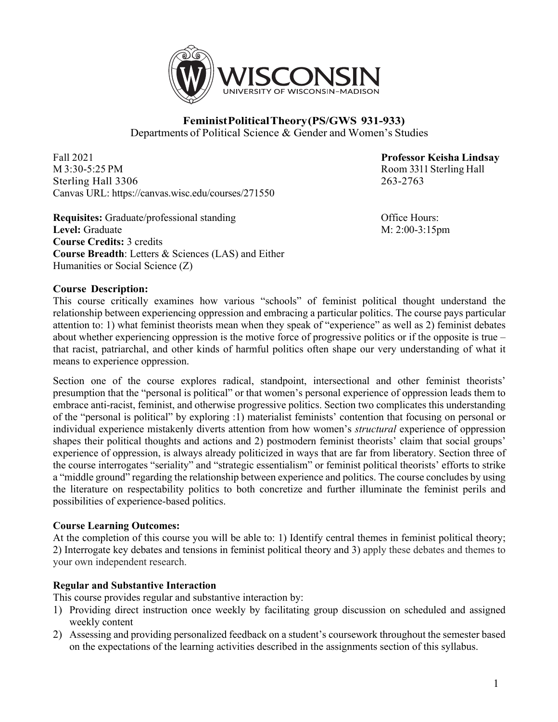

# **FeministPoliticalTheory(PS/GWS 931-933)** Departments of Political Science & Gender and Women's Studies

Fall 2021 **Professor Keisha Lindsay** M 3:30-5:25 PM Room 3311 Sterling Hall Sterling Hall 3306 263-2763 Canvas URL: https://canvas.wisc.edu/courses/271550

**Requisites:** Graduate/professional standing **Community** Office Hours: **Level:** Graduate M: 2:00-3:15pm **Course Credits:** 3 credits **Course Breadth**: Letters & Sciences (LAS) and Either Humanities or Social Science (Z)

## **Course Description:**

This course critically examines how various "schools" of feminist political thought understand the relationship between experiencing oppression and embracing a particular politics. The course pays particular attention to: 1) what feminist theorists mean when they speak of "experience" as well as 2) feminist debates about whether experiencing oppression is the motive force of progressive politics or if the opposite is true – that racist, patriarchal, and other kinds of harmful politics often shape our very understanding of what it means to experience oppression.

Section one of the course explores radical, standpoint, intersectional and other feminist theorists' presumption that the "personal is political" or that women's personal experience of oppression leads them to embrace anti-racist, feminist, and otherwise progressive politics. Section two complicates this understanding of the "personal is political" by exploring :1) materialist feminists' contention that focusing on personal or individual experience mistakenly diverts attention from how women's *structural* experience of oppression shapes their political thoughts and actions and 2) postmodern feminist theorists' claim that social groups' experience of oppression, is always already politicized in ways that are far from liberatory. Section three of the course interrogates "seriality" and "strategic essentialism" or feminist political theorists' efforts to strike a "middle ground" regarding the relationship between experience and politics. The course concludes by using the literature on respectability politics to both concretize and further illuminate the feminist perils and possibilities of experience-based politics.

## **Course Learning Outcomes:**

At the completion of this course you will be able to: 1) Identify central themes in feminist political theory; 2) Interrogate key debates and tensions in feminist political theory and 3) apply these debates and themes to your own independent research.

## **Regular and Substantive Interaction**

This course provides regular and substantive interaction by:

- 1) Providing direct instruction once weekly by facilitating group discussion on scheduled and assigned weekly content
- 2) Assessing and providing personalized feedback on a student's coursework throughout the semester based on the expectations of the learning activities described in the assignments section of this syllabus.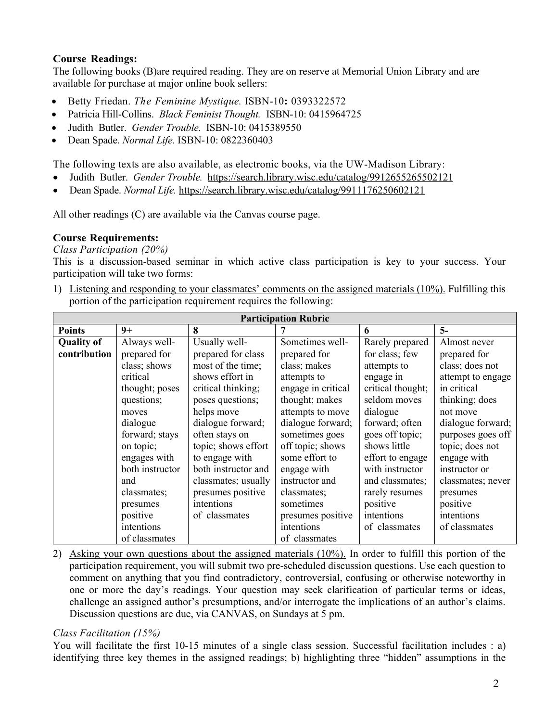# **Course Readings:**

The following books (B)are required reading. They are on reserve at Memorial Union Library and are available for purchase at major online book sellers:

- Betty Friedan. *The Feminine Mystique.* ISBN-10**:** 0393322572
- Patricia Hill-Collins. *Black Feminist Thought.* ISBN-10: 0415964725
- Judith Butler. *Gender Trouble.* ISBN-10: 0415389550
- Dean Spade. *Normal Life.* ISBN-10: 0822360403

The following texts are also available, as electronic books, via the UW-Madison Library:

- Judith Butler. *Gender Trouble.* https://search.library.wisc.edu/catalog/9912655265502121
- Dean Spade. *Normal Life.* https://search.library.wisc.edu/catalog/9911176250602121

All other readings (C) are available via the Canvas course page.

## **Course Requirements:**

*Class Participation (20%)*

This is a discussion-based seminar in which active class participation is key to your success. Your participation will take two forms:

1) Listening and responding to your classmates' comments on the assigned materials (10%). Fulfilling this portion of the participation requirement requires the following:

| <b>Participation Rubric</b> |                 |                     |                    |                   |                   |
|-----------------------------|-----------------|---------------------|--------------------|-------------------|-------------------|
| <b>Points</b>               | $9+$            | 8                   |                    | 6                 | $5-$              |
| <b>Quality of</b>           | Always well-    | Usually well-       | Sometimes well-    | Rarely prepared   | Almost never      |
| contribution                | prepared for    | prepared for class  | prepared for       | for class; few    | prepared for      |
|                             | class; shows    | most of the time;   | class; makes       | attempts to       | class; does not   |
|                             | critical        | shows effort in     | attempts to        | engage in         | attempt to engage |
|                             | thought; poses  | critical thinking;  | engage in critical | critical thought; | in critical       |
|                             | questions;      | poses questions;    | thought; makes     | seldom moves      | thinking; does    |
|                             | moves           | helps move          | attempts to move   | dialogue          | not move          |
|                             | dialogue        | dialogue forward;   | dialogue forward;  | forward; often    | dialogue forward; |
|                             | forward; stays  | often stays on      | sometimes goes     | goes off topic;   | purposes goes off |
|                             | on topic;       | topic; shows effort | off topic; shows   | shows little      | topic; does not   |
|                             | engages with    | to engage with      | some effort to     | effort to engage  | engage with       |
|                             | both instructor | both instructor and | engage with        | with instructor   | instructor or     |
|                             | and             | classmates; usually | instructor and     | and classmates;   | classmates; never |
|                             | classmates;     | presumes positive   | classmates;        | rarely resumes    | presumes          |
|                             | presumes        | intentions          | sometimes          | positive          | positive          |
|                             | positive        | of classmates       | presumes positive  | intentions        | intentions        |
|                             | intentions      |                     | intentions         | of classmates     | of classmates     |
|                             | of classmates   |                     | of classmates      |                   |                   |

2) Asking your own questions about the assigned materials (10%). In order to fulfill this portion of the participation requirement, you will submit two pre-scheduled discussion questions. Use each question to comment on anything that you find contradictory, controversial, confusing or otherwise noteworthy in one or more the day's readings. Your question may seek clarification of particular terms or ideas, challenge an assigned author's presumptions, and/or interrogate the implications of an author's claims. Discussion questions are due, via CANVAS, on Sundays at 5 pm.

## *Class Facilitation (15%)*

You will facilitate the first 10-15 minutes of a single class session. Successful facilitation includes : a) identifying three key themes in the assigned readings; b) highlighting three "hidden" assumptions in the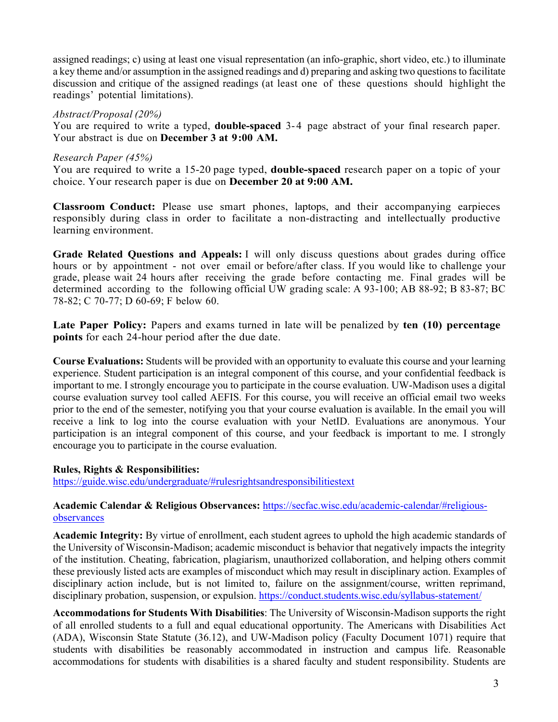assigned readings; c) using at least one visual representation (an info-graphic, short video, etc.) to illuminate a key theme and/or assumption in the assigned readings and d) preparing and asking two questions to facilitate discussion and critique of the assigned readings (at least one of these questions should highlight the readings' potential limitations).

#### *Abstract/Proposal (20%)*

You are required to write a typed, **double-spaced** 3-4 page abstract of your final research paper. Your abstract is due on **December 3 at 9:00 AM.**

#### *Research Paper (45%)*

You are required to write a 15-20 page typed, **double-spaced** research paper on a topic of your choice. Your research paper is due on **December 20 at 9:00 AM.**

**Classroom Conduct:** Please use smart phones, laptops, and their accompanying earpieces responsibly during class in order to facilitate a non-distracting and intellectually productive learning environment.

**Grade Related Questions and Appeals:** I will only discuss questions about grades during office hours or by appointment - not over email or before/after class. If you would like to challenge your grade, please wait 24 hours after receiving the grade before contacting me. Final grades will be determined according to the following official UW grading scale: A 93-100; AB 88-92; B 83-87; BC 78-82; C 70-77; D 60-69; F below 60.

**Late Paper Policy:** Papers and exams turned in late will be penalized by **ten (10) percentage points** for each 24-hour period after the due date.

**Course Evaluations:** Students will be provided with an opportunity to evaluate this course and your learning experience. Student participation is an integral component of this course, and your confidential feedback is important to me. I strongly encourage you to participate in the course evaluation. UW-Madison uses a digital course evaluation survey tool called AEFIS. For this course, you will receive an official email two weeks prior to the end of the semester, notifying you that your course evaluation is available. In the email you will receive a link to log into the course evaluation with your NetID. Evaluations are anonymous. Your participation is an integral component of this course, and your feedback is important to me. I strongly encourage you to participate in the course evaluation.

## **Rules, Rights & Responsibilities:**

https://guide.wisc.edu/undergraduate/#rulesrightsandresponsibilitiestext

# **Academic Calendar & Religious Observances:** https://secfac.wisc.edu/academic-calendar/#religiousobservances

**Academic Integrity:** By virtue of enrollment, each student agrees to uphold the high academic standards of the University of Wisconsin-Madison; academic misconduct is behavior that negatively impacts the integrity of the institution. Cheating, fabrication, plagiarism, unauthorized collaboration, and helping others commit these previously listed acts are examples of misconduct which may result in disciplinary action. Examples of disciplinary action include, but is not limited to, failure on the assignment/course, written reprimand, disciplinary probation, suspension, or expulsion. https://conduct.students.wisc.edu/syllabus-statement/

**Accommodations for Students With Disabilities**: The University of Wisconsin-Madison supports the right of all enrolled students to a full and equal educational opportunity. The Americans with Disabilities Act (ADA), Wisconsin State Statute (36.12), and UW-Madison policy (Faculty Document 1071) require that students with disabilities be reasonably accommodated in instruction and campus life. Reasonable accommodations for students with disabilities is a shared faculty and student responsibility. Students are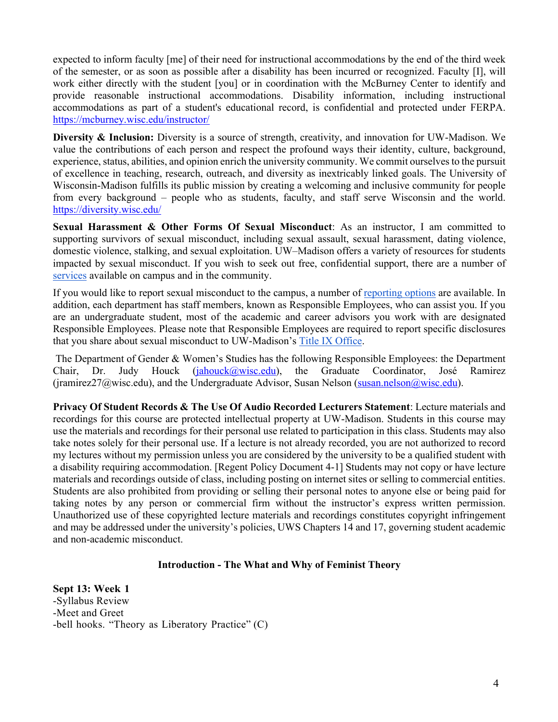expected to inform faculty [me] of their need for instructional accommodations by the end of the third week of the semester, or as soon as possible after a disability has been incurred or recognized. Faculty [I], will work either directly with the student [you] or in coordination with the McBurney Center to identify and provide reasonable instructional accommodations. Disability information, including instructional accommodations as part of a student's educational record, is confidential and protected under FERPA. https://mcburney.wisc.edu/instructor/

**Diversity & Inclusion:** Diversity is a source of strength, creativity, and innovation for UW-Madison. We value the contributions of each person and respect the profound ways their identity, culture, background, experience, status, abilities, and opinion enrich the university community. We commit ourselves to the pursuit of excellence in teaching, research, outreach, and diversity as inextricably linked goals. The University of Wisconsin-Madison fulfills its public mission by creating a welcoming and inclusive community for people from every background – people who as students, faculty, and staff serve Wisconsin and the world. https://diversity.wisc.edu/

**Sexual Harassment & Other Forms Of Sexual Misconduct**: As an instructor, I am committed to supporting survivors of sexual misconduct, including sexual assault, sexual harassment, dating violence, domestic violence, stalking, and sexual exploitation. UW–Madison offers a variety of resources for students impacted by sexual misconduct. If you wish to seek out free, confidential support, there are a number of services available on campus and in the community.

If you would like to report sexual misconduct to the campus, a number of reporting options are available. In addition, each department has staff members, known as Responsible Employees, who can assist you. If you are an undergraduate student, most of the academic and career advisors you work with are designated Responsible Employees. Please note that Responsible Employees are required to report specific disclosures that you share about sexual misconduct to UW-Madison's Title IX Office.

The Department of Gender & Women's Studies has the following Responsible Employees: the Department Chair, Dr. Judy Houck (jahouck@wisc.edu), the Graduate Coordinator, José Ramirez (jramirez $27\omega$ wisc.edu), and the Undergraduate Advisor, Susan Nelson (susan.nelson $\omega$ wisc.edu).

**Privacy Of Student Records & The Use Of Audio Recorded Lecturers Statement**: Lecture materials and recordings for this course are protected intellectual property at UW-Madison. Students in this course may use the materials and recordings for their personal use related to participation in this class. Students may also take notes solely for their personal use. If a lecture is not already recorded, you are not authorized to record my lectures without my permission unless you are considered by the university to be a qualified student with a disability requiring accommodation. [Regent Policy Document 4-1] Students may not copy or have lecture materials and recordings outside of class, including posting on internet sites or selling to commercial entities. Students are also prohibited from providing or selling their personal notes to anyone else or being paid for taking notes by any person or commercial firm without the instructor's express written permission. Unauthorized use of these copyrighted lecture materials and recordings constitutes copyright infringement and may be addressed under the university's policies, UWS Chapters 14 and 17, governing student academic and non-academic misconduct.

#### **Introduction - The What and Why of Feminist Theory**

**Sept 13: Week 1** -Syllabus Review -Meet and Greet -bell hooks. "Theory as Liberatory Practice" (C)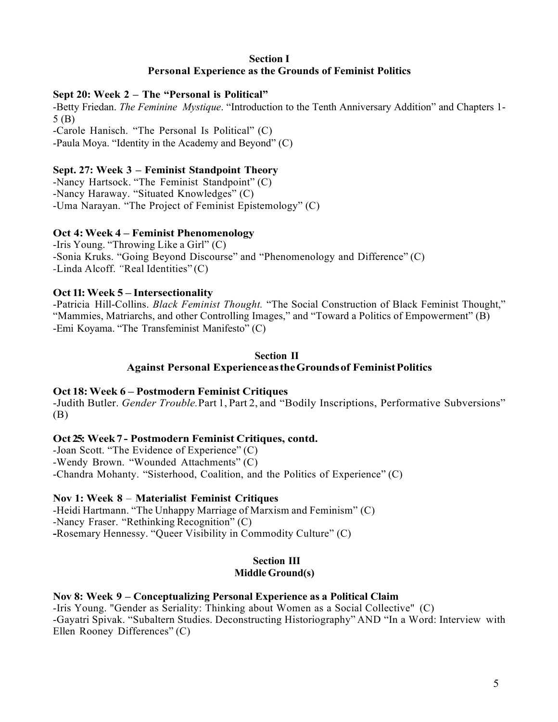## **Section I Personal Experience as the Grounds of Feminist Politics**

## **Sept 20: Week 2 – The "Personal is Political"**

-Betty Friedan. *The Feminine Mystique*. "Introduction to the Tenth Anniversary Addition" and Chapters 1- 5 (B) -Carole Hanisch. "The Personal Is Political" (C)

-Paula Moya. "Identity in the Academy and Beyond" (C)

## **Sept. 27: Week 3 – Feminist Standpoint Theory**

-Nancy Hartsock. "The Feminist Standpoint" (C) -Nancy Haraway. "Situated Knowledges" (C) -Uma Narayan. "The Project of Feminist Epistemology" (C)

## **Oct 4:Week 4 – Feminist Phenomenology**

-Iris Young. "Throwing Like a Girl" (C) -Sonia Kruks. "Going Beyond Discourse" and "Phenomenology and Difference" (C) *-*Linda Alcoff. *"*Real Identities" (C)

## **Oct 11:Week 5 – Intersectionality**

-Patricia Hill-Collins. *Black Feminist Thought.* "The Social Construction of Black Feminist Thought," "Mammies, Matriarchs, and other Controlling Images," and "Toward a Politics of Empowerment" (B) -Emi Koyama. "The Transfeminist Manifesto" (C)

#### **Section II Against Personal ExperienceastheGroundsof FeministPolitics**

## **Oct 18:Week 6 – Postmodern Feminist Critiques**

-Judith Butler. *Gender Trouble.* Part 1, Part 2, and "Bodily Inscriptions, Performative Subversions" (B)

## **Oct 25: Week7 - Postmodern Feminist Critiques, contd.**

-Joan Scott. "The Evidence of Experience" (C) -Wendy Brown. "Wounded Attachments" (C) -Chandra Mohanty. "Sisterhood, Coalition, and the Politics of Experience" (C)

## **Nov 1: Week 8** – **Materialist Feminist Critiques**

-Heidi Hartmann. "The Unhappy Marriage of Marxism and Feminism" (C) -Nancy Fraser. "Rethinking Recognition" (C) **-**Rosemary Hennessy. "Queer Visibility in Commodity Culture" (C)

# **Section III**

# **Middle Ground(s)**

## **Nov 8: Week 9** *–* **Conceptualizing Personal Experience as a Political Claim**

-Iris Young. "Gender as Seriality: Thinking about Women as a Social Collective" (C) -Gayatri Spivak. "Subaltern Studies. Deconstructing Historiography" AND "In a Word: Interview with Ellen Rooney Differences" (C)